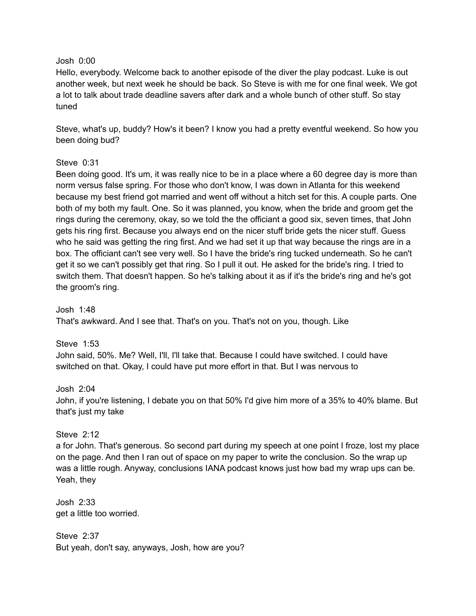#### Josh 0:00

Hello, everybody. Welcome back to another episode of the diver the play podcast. Luke is out another week, but next week he should be back. So Steve is with me for one final week. We got a lot to talk about trade deadline savers after dark and a whole bunch of other stuff. So stay tuned

Steve, what's up, buddy? How's it been? I know you had a pretty eventful weekend. So how you been doing bud?

## Steve 0:31

Been doing good. It's um, it was really nice to be in a place where a 60 degree day is more than norm versus false spring. For those who don't know, I was down in Atlanta for this weekend because my best friend got married and went off without a hitch set for this. A couple parts. One both of my both my fault. One. So it was planned, you know, when the bride and groom get the rings during the ceremony, okay, so we told the the officiant a good six, seven times, that John gets his ring first. Because you always end on the nicer stuff bride gets the nicer stuff. Guess who he said was getting the ring first. And we had set it up that way because the rings are in a box. The officiant can't see very well. So I have the bride's ring tucked underneath. So he can't get it so we can't possibly get that ring. So I pull it out. He asked for the bride's ring. I tried to switch them. That doesn't happen. So he's talking about it as if it's the bride's ring and he's got the groom's ring.

Josh 1:48 That's awkward. And I see that. That's on you. That's not on you, though. Like

Steve 1:53 John said, 50%. Me? Well, I'll, I'll take that. Because I could have switched. I could have switched on that. Okay, I could have put more effort in that. But I was nervous to

#### Josh 2:04

John, if you're listening, I debate you on that 50% I'd give him more of a 35% to 40% blame. But that's just my take

## Steve 2:12

a for John. That's generous. So second part during my speech at one point I froze, lost my place on the page. And then I ran out of space on my paper to write the conclusion. So the wrap up was a little rough. Anyway, conclusions IANA podcast knows just how bad my wrap ups can be. Yeah, they

Josh 2:33 get a little too worried.

Steve 2:37 But yeah, don't say, anyways, Josh, how are you?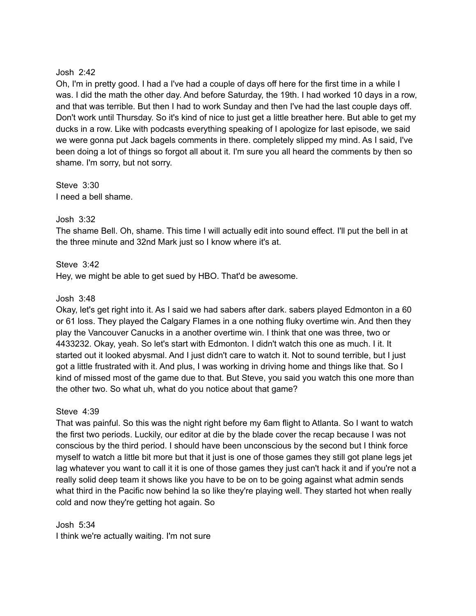## Josh 2:42

Oh, I'm in pretty good. I had a I've had a couple of days off here for the first time in a while I was. I did the math the other day. And before Saturday, the 19th. I had worked 10 days in a row, and that was terrible. But then I had to work Sunday and then I've had the last couple days off. Don't work until Thursday. So it's kind of nice to just get a little breather here. But able to get my ducks in a row. Like with podcasts everything speaking of I apologize for last episode, we said we were gonna put Jack bagels comments in there. completely slipped my mind. As I said, I've been doing a lot of things so forgot all about it. I'm sure you all heard the comments by then so shame. I'm sorry, but not sorry.

Steve 3:30 I need a bell shame.

# Josh 3:32

The shame Bell. Oh, shame. This time I will actually edit into sound effect. I'll put the bell in at the three minute and 32nd Mark just so I know where it's at.

Steve 3:42

Hey, we might be able to get sued by HBO. That'd be awesome.

## Josh 3:48

Okay, let's get right into it. As I said we had sabers after dark. sabers played Edmonton in a 60 or 61 loss. They played the Calgary Flames in a one nothing fluky overtime win. And then they play the Vancouver Canucks in a another overtime win. I think that one was three, two or 4433232. Okay, yeah. So let's start with Edmonton. I didn't watch this one as much. I it. It started out it looked abysmal. And I just didn't care to watch it. Not to sound terrible, but I just got a little frustrated with it. And plus, I was working in driving home and things like that. So I kind of missed most of the game due to that. But Steve, you said you watch this one more than the other two. So what uh, what do you notice about that game?

## Steve 4:39

That was painful. So this was the night right before my 6am flight to Atlanta. So I want to watch the first two periods. Luckily, our editor at die by the blade cover the recap because I was not conscious by the third period. I should have been unconscious by the second but I think force myself to watch a little bit more but that it just is one of those games they still got plane legs jet lag whatever you want to call it it is one of those games they just can't hack it and if you're not a really solid deep team it shows like you have to be on to be going against what admin sends what third in the Pacific now behind la so like they're playing well. They started hot when really cold and now they're getting hot again. So

Josh 5:34 I think we're actually waiting. I'm not sure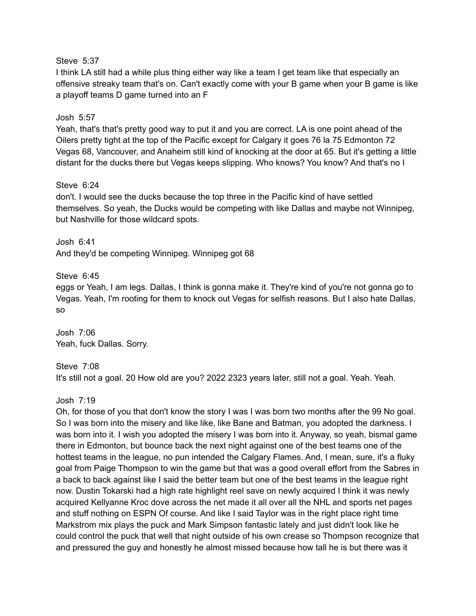## Steve 5:37

I think LA still had a while plus thing either way like a team I get team like that especially an offensive streaky team that's on. Can't exactly come with your B game when your B game is like a playoff teams D game turned into an F

# Josh 5:57

Yeah, that's that's pretty good way to put it and you are correct. LA is one point ahead of the Oilers pretty tight at the top of the Pacific except for Calgary it goes 76 la 75 Edmonton 72 Vegas 68, Vancouver, and Anaheim still kind of knocking at the door at 65. But it's getting a little distant for the ducks there but Vegas keeps slipping. Who knows? You know? And that's no I

# Steve 6:24

don't. I would see the ducks because the top three in the Pacific kind of have settled themselves. So yeah, the Ducks would be competing with like Dallas and maybe not Winnipeg, but Nashville for those wildcard spots.

Josh 6:41 And they'd be competing Winnipeg. Winnipeg got 68

# Steve 6:45

eggs or Yeah, I am legs. Dallas, I think is gonna make it. They're kind of you're not gonna go to Vegas. Yeah, I'm rooting for them to knock out Vegas for selfish reasons. But I also hate Dallas, so

Josh 7:06 Yeah, fuck Dallas. Sorry.

Steve 7:08 It's still not a goal. 20 How old are you? 2022 2323 years later, still not a goal. Yeah. Yeah.

Josh 7:19

Oh, for those of you that don't know the story I was I was born two months after the 99 No goal. So I was born into the misery and like like, like Bane and Batman, you adopted the darkness. I was born into it. I wish you adopted the misery I was born into it. Anyway, so yeah, bismal game there in Edmonton, but bounce back the next night against one of the best teams one of the hottest teams in the league, no pun intended the Calgary Flames. And, I mean, sure, it's a fluky goal from Paige Thompson to win the game but that was a good overall effort from the Sabres in a back to back against like I said the better team but one of the best teams in the league right now. Dustin Tokarski had a high rate highlight reel save on newly acquired I think it was newly acquired Kellyanne Kroc dove across the net made it all over all the NHL and sports net pages and stuff nothing on ESPN Of course. And like I said Taylor was in the right place right time Markstrom mix plays the puck and Mark Simpson fantastic lately and just didn't look like he could control the puck that well that night outside of his own crease so Thompson recognize that and pressured the guy and honestly he almost missed because how tall he is but there was it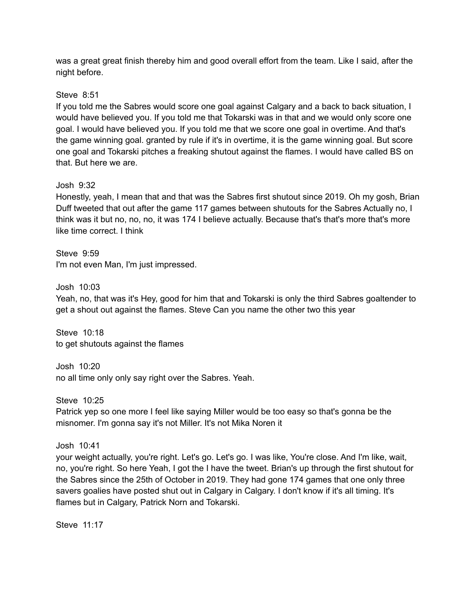was a great great finish thereby him and good overall effort from the team. Like I said, after the night before.

# Steve 8:51

If you told me the Sabres would score one goal against Calgary and a back to back situation, I would have believed you. If you told me that Tokarski was in that and we would only score one goal. I would have believed you. If you told me that we score one goal in overtime. And that's the game winning goal. granted by rule if it's in overtime, it is the game winning goal. But score one goal and Tokarski pitches a freaking shutout against the flames. I would have called BS on that. But here we are.

# Josh 9:32

Honestly, yeah, I mean that and that was the Sabres first shutout since 2019. Oh my gosh, Brian Duff tweeted that out after the game 117 games between shutouts for the Sabres Actually no, I think was it but no, no, no, it was 174 I believe actually. Because that's that's more that's more like time correct. I think

Steve 9:59 I'm not even Man, I'm just impressed.

# Josh 10:03

Yeah, no, that was it's Hey, good for him that and Tokarski is only the third Sabres goaltender to get a shout out against the flames. Steve Can you name the other two this year

Steve 10:18 to get shutouts against the flames

Josh 10:20 no all time only only say right over the Sabres. Yeah.

Steve 10:25

Patrick yep so one more I feel like saying Miller would be too easy so that's gonna be the misnomer. I'm gonna say it's not Miller. It's not Mika Noren it

Josh 10:41

your weight actually, you're right. Let's go. Let's go. I was like, You're close. And I'm like, wait, no, you're right. So here Yeah, I got the I have the tweet. Brian's up through the first shutout for the Sabres since the 25th of October in 2019. They had gone 174 games that one only three savers goalies have posted shut out in Calgary in Calgary. I don't know if it's all timing. It's flames but in Calgary, Patrick Norn and Tokarski.

Steve 11:17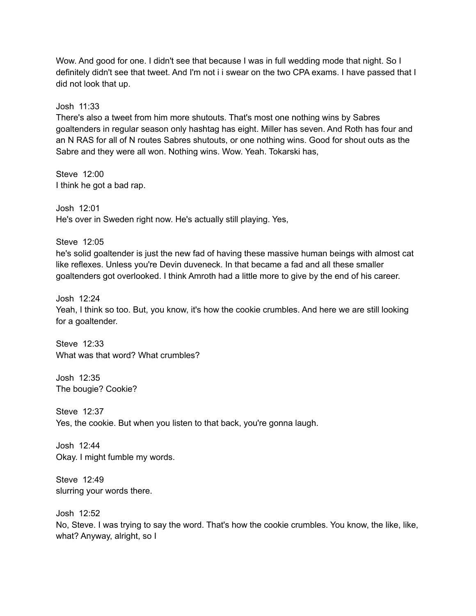Wow. And good for one. I didn't see that because I was in full wedding mode that night. So I definitely didn't see that tweet. And I'm not i i swear on the two CPA exams. I have passed that I did not look that up.

### Josh 11:33

There's also a tweet from him more shutouts. That's most one nothing wins by Sabres goaltenders in regular season only hashtag has eight. Miller has seven. And Roth has four and an N RAS for all of N routes Sabres shutouts, or one nothing wins. Good for shout outs as the Sabre and they were all won. Nothing wins. Wow. Yeah. Tokarski has,

Steve 12:00 I think he got a bad rap.

Josh 12:01 He's over in Sweden right now. He's actually still playing. Yes,

Steve 12:05 he's solid goaltender is just the new fad of having these massive human beings with almost cat like reflexes. Unless you're Devin duveneck. In that became a fad and all these smaller goaltenders got overlooked. I think Amroth had a little more to give by the end of his career.

Josh 12:24

Yeah, I think so too. But, you know, it's how the cookie crumbles. And here we are still looking for a goaltender.

Steve 12:33 What was that word? What crumbles?

Josh 12:35 The bougie? Cookie?

Steve 12:37 Yes, the cookie. But when you listen to that back, you're gonna laugh.

Josh 12:44 Okay. I might fumble my words.

Steve 12:49 slurring your words there.

Josh 12:52 No, Steve. I was trying to say the word. That's how the cookie crumbles. You know, the like, like, what? Anyway, alright, so I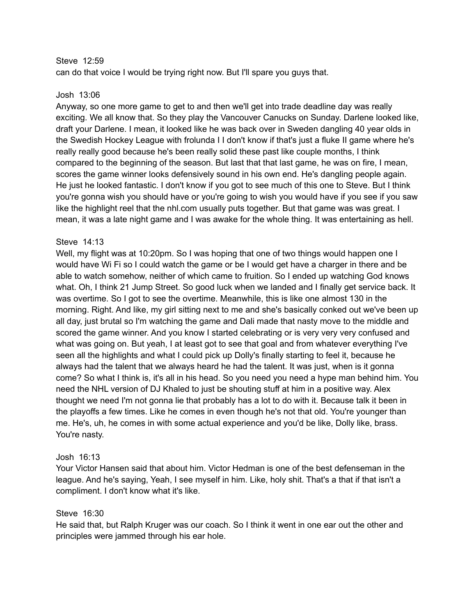### Steve 12:59

can do that voice I would be trying right now. But I'll spare you guys that.

### Josh 13:06

Anyway, so one more game to get to and then we'll get into trade deadline day was really exciting. We all know that. So they play the Vancouver Canucks on Sunday. Darlene looked like, draft your Darlene. I mean, it looked like he was back over in Sweden dangling 40 year olds in the Swedish Hockey League with frolunda I I don't know if that's just a fluke II game where he's really really good because he's been really solid these past like couple months, I think compared to the beginning of the season. But last that that last game, he was on fire, I mean, scores the game winner looks defensively sound in his own end. He's dangling people again. He just he looked fantastic. I don't know if you got to see much of this one to Steve. But I think you're gonna wish you should have or you're going to wish you would have if you see if you saw like the highlight reel that the nhl.com usually puts together. But that game was was great. I mean, it was a late night game and I was awake for the whole thing. It was entertaining as hell.

## Steve 14:13

Well, my flight was at 10:20pm. So I was hoping that one of two things would happen one I would have Wi Fi so I could watch the game or be I would get have a charger in there and be able to watch somehow, neither of which came to fruition. So I ended up watching God knows what. Oh, I think 21 Jump Street. So good luck when we landed and I finally get service back. It was overtime. So I got to see the overtime. Meanwhile, this is like one almost 130 in the morning. Right. And like, my girl sitting next to me and she's basically conked out we've been up all day, just brutal so I'm watching the game and Dali made that nasty move to the middle and scored the game winner. And you know I started celebrating or is very very very confused and what was going on. But yeah, I at least got to see that goal and from whatever everything I've seen all the highlights and what I could pick up Dolly's finally starting to feel it, because he always had the talent that we always heard he had the talent. It was just, when is it gonna come? So what I think is, it's all in his head. So you need you need a hype man behind him. You need the NHL version of DJ Khaled to just be shouting stuff at him in a positive way. Alex thought we need I'm not gonna lie that probably has a lot to do with it. Because talk it been in the playoffs a few times. Like he comes in even though he's not that old. You're younger than me. He's, uh, he comes in with some actual experience and you'd be like, Dolly like, brass. You're nasty.

## Josh 16:13

Your Victor Hansen said that about him. Victor Hedman is one of the best defenseman in the league. And he's saying, Yeah, I see myself in him. Like, holy shit. That's a that if that isn't a compliment. I don't know what it's like.

## Steve 16:30

He said that, but Ralph Kruger was our coach. So I think it went in one ear out the other and principles were jammed through his ear hole.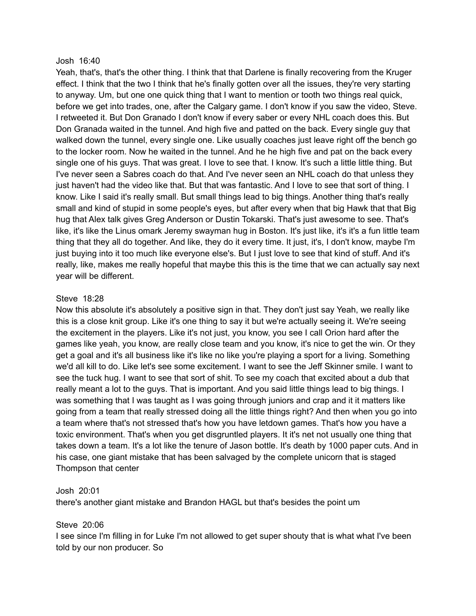#### Josh 16:40

Yeah, that's, that's the other thing. I think that that Darlene is finally recovering from the Kruger effect. I think that the two I think that he's finally gotten over all the issues, they're very starting to anyway. Um, but one one quick thing that I want to mention or tooth two things real quick, before we get into trades, one, after the Calgary game. I don't know if you saw the video, Steve. I retweeted it. But Don Granado I don't know if every saber or every NHL coach does this. But Don Granada waited in the tunnel. And high five and patted on the back. Every single guy that walked down the tunnel, every single one. Like usually coaches just leave right off the bench go to the locker room. Now he waited in the tunnel. And he he high five and pat on the back every single one of his guys. That was great. I love to see that. I know. It's such a little little thing. But I've never seen a Sabres coach do that. And I've never seen an NHL coach do that unless they just haven't had the video like that. But that was fantastic. And I love to see that sort of thing. I know. Like I said it's really small. But small things lead to big things. Another thing that's really small and kind of stupid in some people's eyes, but after every when that big Hawk that that Big hug that Alex talk gives Greg Anderson or Dustin Tokarski. That's just awesome to see. That's like, it's like the Linus omark Jeremy swayman hug in Boston. It's just like, it's it's a fun little team thing that they all do together. And like, they do it every time. It just, it's, I don't know, maybe I'm just buying into it too much like everyone else's. But I just love to see that kind of stuff. And it's really, like, makes me really hopeful that maybe this this is the time that we can actually say next year will be different.

#### Steve 18:28

Now this absolute it's absolutely a positive sign in that. They don't just say Yeah, we really like this is a close knit group. Like it's one thing to say it but we're actually seeing it. We're seeing the excitement in the players. Like it's not just, you know, you see I call Orion hard after the games like yeah, you know, are really close team and you know, it's nice to get the win. Or they get a goal and it's all business like it's like no like you're playing a sport for a living. Something we'd all kill to do. Like let's see some excitement. I want to see the Jeff Skinner smile. I want to see the tuck hug. I want to see that sort of shit. To see my coach that excited about a dub that really meant a lot to the guys. That is important. And you said little things lead to big things. I was something that I was taught as I was going through juniors and crap and it it matters like going from a team that really stressed doing all the little things right? And then when you go into a team where that's not stressed that's how you have letdown games. That's how you have a toxic environment. That's when you get disgruntled players. It it's net not usually one thing that takes down a team. It's a lot like the tenure of Jason bottle. It's death by 1000 paper cuts. And in his case, one giant mistake that has been salvaged by the complete unicorn that is staged Thompson that center

#### Josh 20:01

there's another giant mistake and Brandon HAGL but that's besides the point um

## Steve 20:06

I see since I'm filling in for Luke I'm not allowed to get super shouty that is what what I've been told by our non producer. So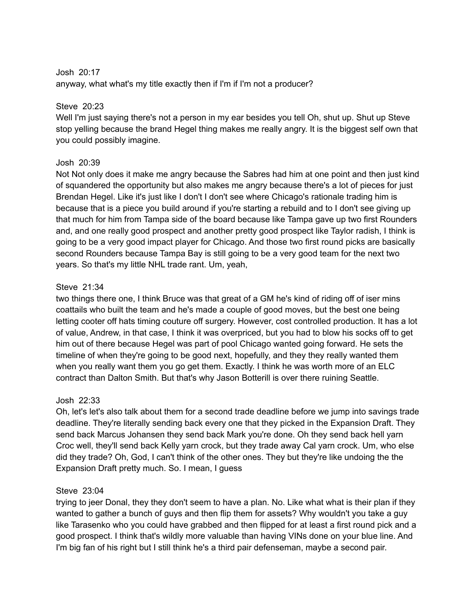# Josh 20:17

anyway, what what's my title exactly then if I'm if I'm not a producer?

# Steve 20:23

Well I'm just saying there's not a person in my ear besides you tell Oh, shut up. Shut up Steve stop yelling because the brand Hegel thing makes me really angry. It is the biggest self own that you could possibly imagine.

# Josh 20:39

Not Not only does it make me angry because the Sabres had him at one point and then just kind of squandered the opportunity but also makes me angry because there's a lot of pieces for just Brendan Hegel. Like it's just like I don't I don't see where Chicago's rationale trading him is because that is a piece you build around if you're starting a rebuild and to I don't see giving up that much for him from Tampa side of the board because like Tampa gave up two first Rounders and, and one really good prospect and another pretty good prospect like Taylor radish, I think is going to be a very good impact player for Chicago. And those two first round picks are basically second Rounders because Tampa Bay is still going to be a very good team for the next two years. So that's my little NHL trade rant. Um, yeah,

# Steve 21:34

two things there one, I think Bruce was that great of a GM he's kind of riding off of iser mins coattails who built the team and he's made a couple of good moves, but the best one being letting cooter off hats timing couture off surgery. However, cost controlled production. It has a lot of value, Andrew, in that case, I think it was overpriced, but you had to blow his socks off to get him out of there because Hegel was part of pool Chicago wanted going forward. He sets the timeline of when they're going to be good next, hopefully, and they they really wanted them when you really want them you go get them. Exactly. I think he was worth more of an ELC contract than Dalton Smith. But that's why Jason Botterill is over there ruining Seattle.

# Josh 22:33

Oh, let's let's also talk about them for a second trade deadline before we jump into savings trade deadline. They're literally sending back every one that they picked in the Expansion Draft. They send back Marcus Johansen they send back Mark you're done. Oh they send back hell yarn Croc well, they'll send back Kelly yarn crock, but they trade away Cal yarn crock. Um, who else did they trade? Oh, God, I can't think of the other ones. They but they're like undoing the the Expansion Draft pretty much. So. I mean, I guess

## Steve 23:04

trying to jeer Donal, they they don't seem to have a plan. No. Like what what is their plan if they wanted to gather a bunch of guys and then flip them for assets? Why wouldn't you take a guy like Tarasenko who you could have grabbed and then flipped for at least a first round pick and a good prospect. I think that's wildly more valuable than having VINs done on your blue line. And I'm big fan of his right but I still think he's a third pair defenseman, maybe a second pair.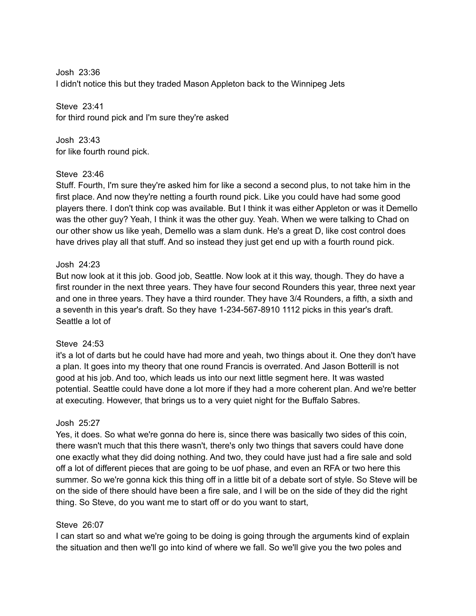Josh 23:36 I didn't notice this but they traded Mason Appleton back to the Winnipeg Jets

Steve 23:41 for third round pick and I'm sure they're asked

Josh 23:43 for like fourth round pick.

## Steve 23:46

Stuff. Fourth, I'm sure they're asked him for like a second a second plus, to not take him in the first place. And now they're netting a fourth round pick. Like you could have had some good players there. I don't think cop was available. But I think it was either Appleton or was it Demello was the other guy? Yeah, I think it was the other guy. Yeah. When we were talking to Chad on our other show us like yeah, Demello was a slam dunk. He's a great D, like cost control does have drives play all that stuff. And so instead they just get end up with a fourth round pick.

# Josh 24:23

But now look at it this job. Good job, Seattle. Now look at it this way, though. They do have a first rounder in the next three years. They have four second Rounders this year, three next year and one in three years. They have a third rounder. They have 3/4 Rounders, a fifth, a sixth and a seventh in this year's draft. So they have 1-234-567-8910 1112 picks in this year's draft. Seattle a lot of

## Steve 24:53

it's a lot of darts but he could have had more and yeah, two things about it. One they don't have a plan. It goes into my theory that one round Francis is overrated. And Jason Botterill is not good at his job. And too, which leads us into our next little segment here. It was wasted potential. Seattle could have done a lot more if they had a more coherent plan. And we're better at executing. However, that brings us to a very quiet night for the Buffalo Sabres.

# Josh 25:27

Yes, it does. So what we're gonna do here is, since there was basically two sides of this coin, there wasn't much that this there wasn't, there's only two things that savers could have done one exactly what they did doing nothing. And two, they could have just had a fire sale and sold off a lot of different pieces that are going to be uof phase, and even an RFA or two here this summer. So we're gonna kick this thing off in a little bit of a debate sort of style. So Steve will be on the side of there should have been a fire sale, and I will be on the side of they did the right thing. So Steve, do you want me to start off or do you want to start,

## Steve 26:07

I can start so and what we're going to be doing is going through the arguments kind of explain the situation and then we'll go into kind of where we fall. So we'll give you the two poles and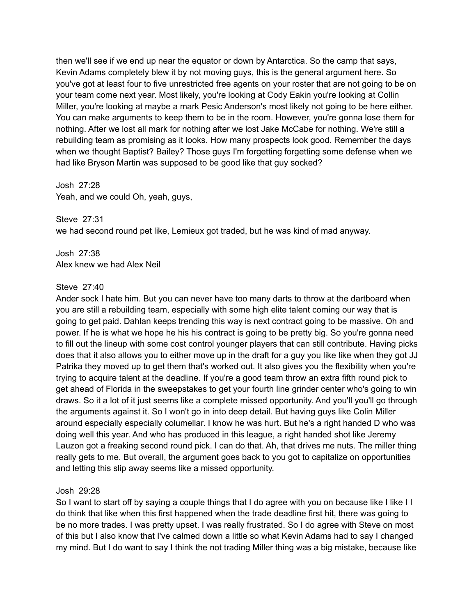then we'll see if we end up near the equator or down by Antarctica. So the camp that says, Kevin Adams completely blew it by not moving guys, this is the general argument here. So you've got at least four to five unrestricted free agents on your roster that are not going to be on your team come next year. Most likely, you're looking at Cody Eakin you're looking at Collin Miller, you're looking at maybe a mark Pesic Anderson's most likely not going to be here either. You can make arguments to keep them to be in the room. However, you're gonna lose them for nothing. After we lost all mark for nothing after we lost Jake McCabe for nothing. We're still a rebuilding team as promising as it looks. How many prospects look good. Remember the days when we thought Baptist? Bailey? Those guys I'm forgetting forgetting some defense when we had like Bryson Martin was supposed to be good like that guy socked?

## Josh 27:28

Yeah, and we could Oh, yeah, guys,

Steve 27:31 we had second round pet like, Lemieux got traded, but he was kind of mad anyway.

Josh 27:38 Alex knew we had Alex Neil

## Steve 27:40

Ander sock I hate him. But you can never have too many darts to throw at the dartboard when you are still a rebuilding team, especially with some high elite talent coming our way that is going to get paid. Dahlan keeps trending this way is next contract going to be massive. Oh and power. If he is what we hope he his his contract is going to be pretty big. So you're gonna need to fill out the lineup with some cost control younger players that can still contribute. Having picks does that it also allows you to either move up in the draft for a guy you like like when they got JJ Patrika they moved up to get them that's worked out. It also gives you the flexibility when you're trying to acquire talent at the deadline. If you're a good team throw an extra fifth round pick to get ahead of Florida in the sweepstakes to get your fourth line grinder center who's going to win draws. So it a lot of it just seems like a complete missed opportunity. And you'll you'll go through the arguments against it. So I won't go in into deep detail. But having guys like Colin Miller around especially especially columellar. I know he was hurt. But he's a right handed D who was doing well this year. And who has produced in this league, a right handed shot like Jeremy Lauzon got a freaking second round pick. I can do that. Ah, that drives me nuts. The miller thing really gets to me. But overall, the argument goes back to you got to capitalize on opportunities and letting this slip away seems like a missed opportunity.

## Josh 29:28

So I want to start off by saying a couple things that I do agree with you on because like I like I I do think that like when this first happened when the trade deadline first hit, there was going to be no more trades. I was pretty upset. I was really frustrated. So I do agree with Steve on most of this but I also know that I've calmed down a little so what Kevin Adams had to say I changed my mind. But I do want to say I think the not trading Miller thing was a big mistake, because like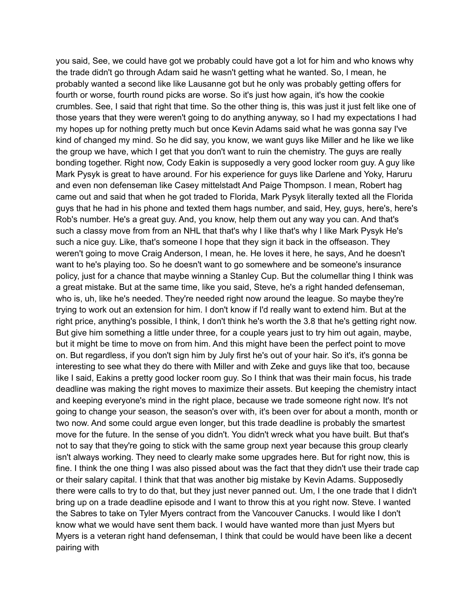you said, See, we could have got we probably could have got a lot for him and who knows why the trade didn't go through Adam said he wasn't getting what he wanted. So, I mean, he probably wanted a second like like Lausanne got but he only was probably getting offers for fourth or worse, fourth round picks are worse. So it's just how again, it's how the cookie crumbles. See, I said that right that time. So the other thing is, this was just it just felt like one of those years that they were weren't going to do anything anyway, so I had my expectations I had my hopes up for nothing pretty much but once Kevin Adams said what he was gonna say I've kind of changed my mind. So he did say, you know, we want guys like Miller and he like we like the group we have, which I get that you don't want to ruin the chemistry. The guys are really bonding together. Right now, Cody Eakin is supposedly a very good locker room guy. A guy like Mark Pysyk is great to have around. For his experience for guys like Darlene and Yoky, Haruru and even non defenseman like Casey mittelstadt And Paige Thompson. I mean, Robert hag came out and said that when he got traded to Florida, Mark Pysyk literally texted all the Florida guys that he had in his phone and texted them hags number, and said, Hey, guys, here's, here's Rob's number. He's a great guy. And, you know, help them out any way you can. And that's such a classy move from from an NHL that that's why I like that's why I like Mark Pysyk He's such a nice guy. Like, that's someone I hope that they sign it back in the offseason. They weren't going to move Craig Anderson, I mean, he. He loves it here, he says, And he doesn't want to he's playing too. So he doesn't want to go somewhere and be someone's insurance policy, just for a chance that maybe winning a Stanley Cup. But the columellar thing I think was a great mistake. But at the same time, like you said, Steve, he's a right handed defenseman, who is, uh, like he's needed. They're needed right now around the league. So maybe they're trying to work out an extension for him. I don't know if I'd really want to extend him. But at the right price, anything's possible, I think, I don't think he's worth the 3.8 that he's getting right now. But give him something a little under three, for a couple years just to try him out again, maybe, but it might be time to move on from him. And this might have been the perfect point to move on. But regardless, if you don't sign him by July first he's out of your hair. So it's, it's gonna be interesting to see what they do there with Miller and with Zeke and guys like that too, because like I said, Eakins a pretty good locker room guy. So I think that was their main focus, his trade deadline was making the right moves to maximize their assets. But keeping the chemistry intact and keeping everyone's mind in the right place, because we trade someone right now. It's not going to change your season, the season's over with, it's been over for about a month, month or two now. And some could argue even longer, but this trade deadline is probably the smartest move for the future. In the sense of you didn't. You didn't wreck what you have built. But that's not to say that they're going to stick with the same group next year because this group clearly isn't always working. They need to clearly make some upgrades here. But for right now, this is fine. I think the one thing I was also pissed about was the fact that they didn't use their trade cap or their salary capital. I think that that was another big mistake by Kevin Adams. Supposedly there were calls to try to do that, but they just never panned out. Um, I the one trade that I didn't bring up on a trade deadline episode and I want to throw this at you right now. Steve. I wanted the Sabres to take on Tyler Myers contract from the Vancouver Canucks. I would like I don't know what we would have sent them back. I would have wanted more than just Myers but Myers is a veteran right hand defenseman, I think that could be would have been like a decent pairing with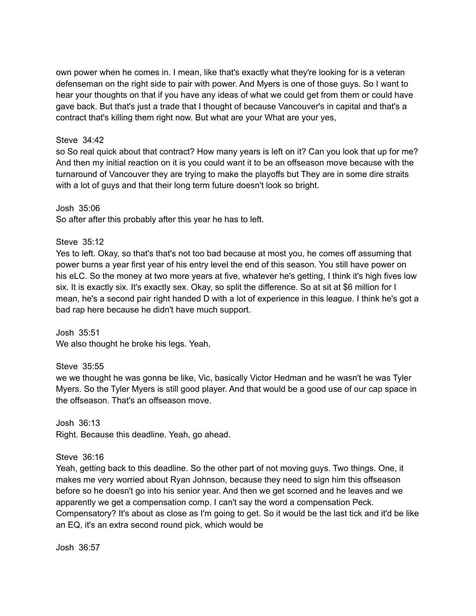own power when he comes in. I mean, like that's exactly what they're looking for is a veteran defenseman on the right side to pair with power. And Myers is one of those guys. So I want to hear your thoughts on that if you have any ideas of what we could get from them or could have gave back. But that's just a trade that I thought of because Vancouver's in capital and that's a contract that's killing them right now. But what are your What are your yes,

### Steve 34:42

so So real quick about that contract? How many years is left on it? Can you look that up for me? And then my initial reaction on it is you could want it to be an offseason move because with the turnaround of Vancouver they are trying to make the playoffs but They are in some dire straits with a lot of guys and that their long term future doesn't look so bright.

Josh 35:06

So after after this probably after this year he has to left.

Steve 35:12

Yes to left. Okay, so that's that's not too bad because at most you, he comes off assuming that power burns a year first year of his entry level the end of this season. You still have power on his eLC. So the money at two more years at five, whatever he's getting, I think it's high fives low six. It is exactly six. It's exactly sex. Okay, so split the difference. So at sit at \$6 million for I mean, he's a second pair right handed D with a lot of experience in this league. I think he's got a bad rap here because he didn't have much support.

Josh 35:51 We also thought he broke his legs. Yeah,

Steve 35:55

we we thought he was gonna be like, Vic, basically Victor Hedman and he wasn't he was Tyler Myers. So the Tyler Myers is still good player. And that would be a good use of our cap space in the offseason. That's an offseason move.

Josh 36:13 Right. Because this deadline. Yeah, go ahead.

Steve 36:16

Yeah, getting back to this deadline. So the other part of not moving guys. Two things. One, it makes me very worried about Ryan Johnson, because they need to sign him this offseason before so he doesn't go into his senior year. And then we get scorned and he leaves and we apparently we get a compensation comp. I can't say the word a compensation Peck. Compensatory? It's about as close as I'm going to get. So it would be the last tick and it'd be like an EQ, it's an extra second round pick, which would be

Josh 36:57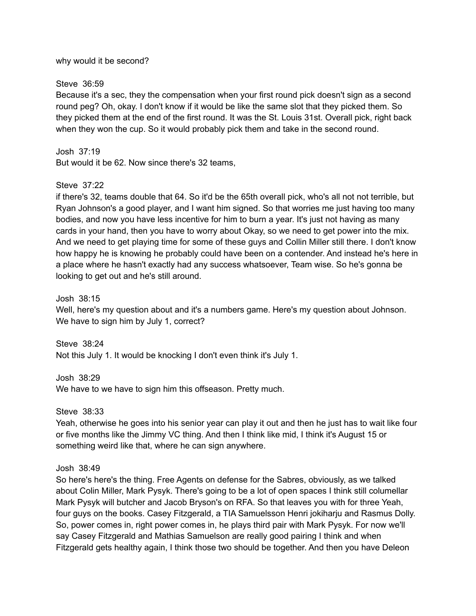#### why would it be second?

### Steve 36:59

Because it's a sec, they the compensation when your first round pick doesn't sign as a second round peg? Oh, okay. I don't know if it would be like the same slot that they picked them. So they picked them at the end of the first round. It was the St. Louis 31st. Overall pick, right back when they won the cup. So it would probably pick them and take in the second round.

### Josh 37:19

But would it be 62. Now since there's 32 teams,

## Steve 37:22

if there's 32, teams double that 64. So it'd be the 65th overall pick, who's all not not terrible, but Ryan Johnson's a good player, and I want him signed. So that worries me just having too many bodies, and now you have less incentive for him to burn a year. It's just not having as many cards in your hand, then you have to worry about Okay, so we need to get power into the mix. And we need to get playing time for some of these guys and Collin Miller still there. I don't know how happy he is knowing he probably could have been on a contender. And instead he's here in a place where he hasn't exactly had any success whatsoever, Team wise. So he's gonna be looking to get out and he's still around.

#### Josh 38:15

Well, here's my question about and it's a numbers game. Here's my question about Johnson. We have to sign him by July 1, correct?

Steve 38:24 Not this July 1. It would be knocking I don't even think it's July 1.

Josh 38:29 We have to we have to sign him this offseason. Pretty much.

Steve 38:33

Yeah, otherwise he goes into his senior year can play it out and then he just has to wait like four or five months like the Jimmy VC thing. And then I think like mid, I think it's August 15 or something weird like that, where he can sign anywhere.

## Josh 38:49

So here's here's the thing. Free Agents on defense for the Sabres, obviously, as we talked about Colin Miller, Mark Pysyk. There's going to be a lot of open spaces I think still columellar Mark Pysyk will butcher and Jacob Bryson's on RFA. So that leaves you with for three Yeah, four guys on the books. Casey Fitzgerald, a TIA Samuelsson Henri jokiharju and Rasmus Dolly. So, power comes in, right power comes in, he plays third pair with Mark Pysyk. For now we'll say Casey Fitzgerald and Mathias Samuelson are really good pairing I think and when Fitzgerald gets healthy again, I think those two should be together. And then you have Deleon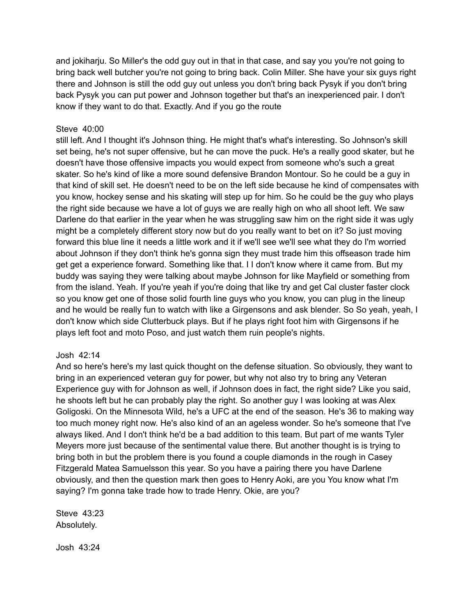and jokiharju. So Miller's the odd guy out in that in that case, and say you you're not going to bring back well butcher you're not going to bring back. Colin Miller. She have your six guys right there and Johnson is still the odd guy out unless you don't bring back Pysyk if you don't bring back Pysyk you can put power and Johnson together but that's an inexperienced pair. I don't know if they want to do that. Exactly. And if you go the route

### Steve 40:00

still left. And I thought it's Johnson thing. He might that's what's interesting. So Johnson's skill set being, he's not super offensive, but he can move the puck. He's a really good skater, but he doesn't have those offensive impacts you would expect from someone who's such a great skater. So he's kind of like a more sound defensive Brandon Montour. So he could be a guy in that kind of skill set. He doesn't need to be on the left side because he kind of compensates with you know, hockey sense and his skating will step up for him. So he could be the guy who plays the right side because we have a lot of guys we are really high on who all shoot left. We saw Darlene do that earlier in the year when he was struggling saw him on the right side it was ugly might be a completely different story now but do you really want to bet on it? So just moving forward this blue line it needs a little work and it if we'll see we'll see what they do I'm worried about Johnson if they don't think he's gonna sign they must trade him this offseason trade him get get a experience forward. Something like that. I I don't know where it came from. But my buddy was saying they were talking about maybe Johnson for like Mayfield or something from from the island. Yeah. If you're yeah if you're doing that like try and get Cal cluster faster clock so you know get one of those solid fourth line guys who you know, you can plug in the lineup and he would be really fun to watch with like a Girgensons and ask blender. So So yeah, yeah, I don't know which side Clutterbuck plays. But if he plays right foot him with Girgensons if he plays left foot and moto Poso, and just watch them ruin people's nights.

#### Josh 42:14

And so here's here's my last quick thought on the defense situation. So obviously, they want to bring in an experienced veteran guy for power, but why not also try to bring any Veteran Experience guy with for Johnson as well, if Johnson does in fact, the right side? Like you said, he shoots left but he can probably play the right. So another guy I was looking at was Alex Goligoski. On the Minnesota Wild, he's a UFC at the end of the season. He's 36 to making way too much money right now. He's also kind of an an ageless wonder. So he's someone that I've always liked. And I don't think he'd be a bad addition to this team. But part of me wants Tyler Meyers more just because of the sentimental value there. But another thought is is trying to bring both in but the problem there is you found a couple diamonds in the rough in Casey Fitzgerald Matea Samuelsson this year. So you have a pairing there you have Darlene obviously, and then the question mark then goes to Henry Aoki, are you You know what I'm saying? I'm gonna take trade how to trade Henry. Okie, are you?

Steve 43:23 Absolutely.

Josh 43:24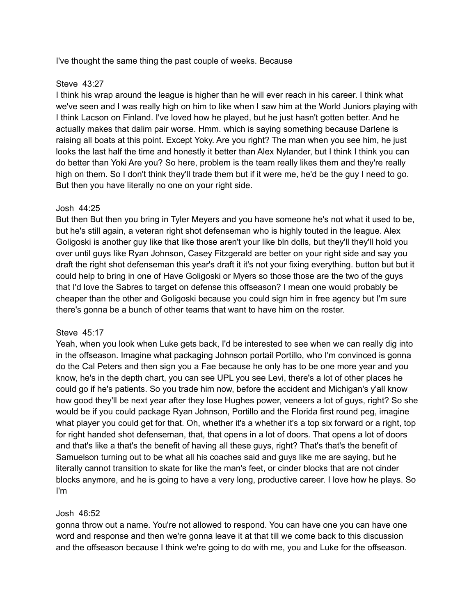I've thought the same thing the past couple of weeks. Because

## Steve 43:27

I think his wrap around the league is higher than he will ever reach in his career. I think what we've seen and I was really high on him to like when I saw him at the World Juniors playing with I think Lacson on Finland. I've loved how he played, but he just hasn't gotten better. And he actually makes that dalim pair worse. Hmm. which is saying something because Darlene is raising all boats at this point. Except Yoky. Are you right? The man when you see him, he just looks the last half the time and honestly it better than Alex Nylander, but I think I think you can do better than Yoki Are you? So here, problem is the team really likes them and they're really high on them. So I don't think they'll trade them but if it were me, he'd be the guy I need to go. But then you have literally no one on your right side.

# Josh 44:25

But then But then you bring in Tyler Meyers and you have someone he's not what it used to be, but he's still again, a veteran right shot defenseman who is highly touted in the league. Alex Goligoski is another guy like that like those aren't your like bln dolls, but they'll they'll hold you over until guys like Ryan Johnson, Casey Fitzgerald are better on your right side and say you draft the right shot defenseman this year's draft it it's not your fixing everything. button but but it could help to bring in one of Have Goligoski or Myers so those those are the two of the guys that I'd love the Sabres to target on defense this offseason? I mean one would probably be cheaper than the other and Goligoski because you could sign him in free agency but I'm sure there's gonna be a bunch of other teams that want to have him on the roster.

## Steve 45:17

Yeah, when you look when Luke gets back, I'd be interested to see when we can really dig into in the offseason. Imagine what packaging Johnson portail Portillo, who I'm convinced is gonna do the Cal Peters and then sign you a Fae because he only has to be one more year and you know, he's in the depth chart, you can see UPL you see Levi, there's a lot of other places he could go if he's patients. So you trade him now, before the accident and Michigan's y'all know how good they'll be next year after they lose Hughes power, veneers a lot of guys, right? So she would be if you could package Ryan Johnson, Portillo and the Florida first round peg, imagine what player you could get for that. Oh, whether it's a whether it's a top six forward or a right, top for right handed shot defenseman, that, that opens in a lot of doors. That opens a lot of doors and that's like a that's the benefit of having all these guys, right? That's that's the benefit of Samuelson turning out to be what all his coaches said and guys like me are saying, but he literally cannot transition to skate for like the man's feet, or cinder blocks that are not cinder blocks anymore, and he is going to have a very long, productive career. I love how he plays. So I'm

## Josh 46:52

gonna throw out a name. You're not allowed to respond. You can have one you can have one word and response and then we're gonna leave it at that till we come back to this discussion and the offseason because I think we're going to do with me, you and Luke for the offseason.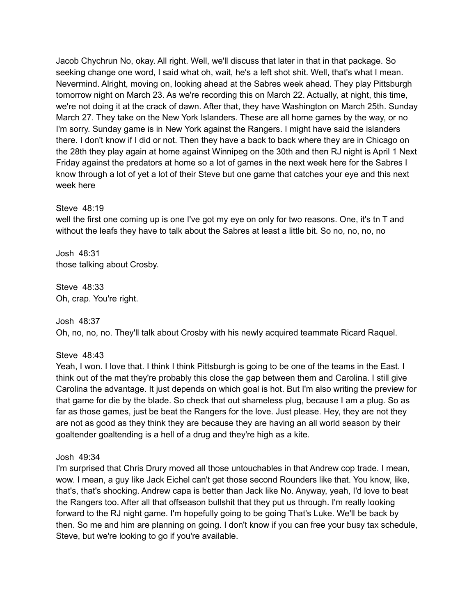Jacob Chychrun No, okay. All right. Well, we'll discuss that later in that in that package. So seeking change one word, I said what oh, wait, he's a left shot shit. Well, that's what I mean. Nevermind. Alright, moving on, looking ahead at the Sabres week ahead. They play Pittsburgh tomorrow night on March 23. As we're recording this on March 22. Actually, at night, this time, we're not doing it at the crack of dawn. After that, they have Washington on March 25th. Sunday March 27. They take on the New York Islanders. These are all home games by the way, or no I'm sorry. Sunday game is in New York against the Rangers. I might have said the islanders there. I don't know if I did or not. Then they have a back to back where they are in Chicago on the 28th they play again at home against Winnipeg on the 30th and then RJ night is April 1 Next Friday against the predators at home so a lot of games in the next week here for the Sabres I know through a lot of yet a lot of their Steve but one game that catches your eye and this next week here

#### Steve 48:19

well the first one coming up is one I've got my eye on only for two reasons. One, it's tn T and without the leafs they have to talk about the Sabres at least a little bit. So no, no, no, no

Josh 48:31 those talking about Crosby.

Steve 48:33 Oh, crap. You're right.

## Josh 48:37

Oh, no, no, no. They'll talk about Crosby with his newly acquired teammate Ricard Raquel.

#### Steve 48:43

Yeah, I won. I love that. I think I think Pittsburgh is going to be one of the teams in the East. I think out of the mat they're probably this close the gap between them and Carolina. I still give Carolina the advantage. It just depends on which goal is hot. But I'm also writing the preview for that game for die by the blade. So check that out shameless plug, because I am a plug. So as far as those games, just be beat the Rangers for the love. Just please. Hey, they are not they are not as good as they think they are because they are having an all world season by their goaltender goaltending is a hell of a drug and they're high as a kite.

#### Josh 49:34

I'm surprised that Chris Drury moved all those untouchables in that Andrew cop trade. I mean, wow. I mean, a guy like Jack Eichel can't get those second Rounders like that. You know, like, that's, that's shocking. Andrew capa is better than Jack like No. Anyway, yeah, I'd love to beat the Rangers too. After all that offseason bullshit that they put us through. I'm really looking forward to the RJ night game. I'm hopefully going to be going That's Luke. We'll be back by then. So me and him are planning on going. I don't know if you can free your busy tax schedule, Steve, but we're looking to go if you're available.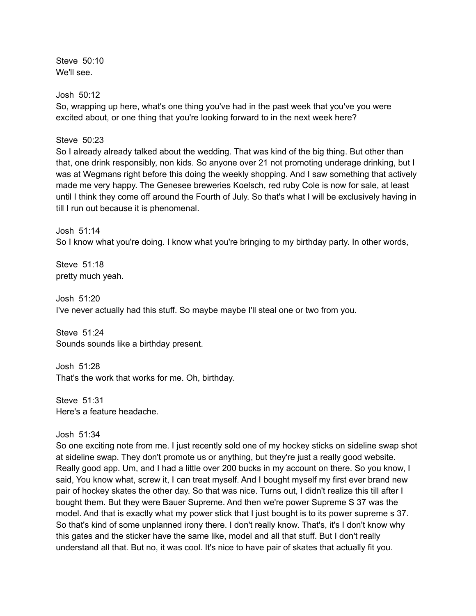Steve 50:10 We'll see.

Josh 50:12

So, wrapping up here, what's one thing you've had in the past week that you've you were excited about, or one thing that you're looking forward to in the next week here?

Steve 50:23

So I already already talked about the wedding. That was kind of the big thing. But other than that, one drink responsibly, non kids. So anyone over 21 not promoting underage drinking, but I was at Wegmans right before this doing the weekly shopping. And I saw something that actively made me very happy. The Genesee breweries Koelsch, red ruby Cole is now for sale, at least until I think they come off around the Fourth of July. So that's what I will be exclusively having in till I run out because it is phenomenal.

Josh 51:14 So I know what you're doing. I know what you're bringing to my birthday party. In other words,

Steve 51:18 pretty much yeah.

Josh 51:20 I've never actually had this stuff. So maybe maybe I'll steal one or two from you.

Steve 51:24 Sounds sounds like a birthday present.

Josh 51:28 That's the work that works for me. Oh, birthday.

Steve 51:31 Here's a feature headache.

Josh 51:34

So one exciting note from me. I just recently sold one of my hockey sticks on sideline swap shot at sideline swap. They don't promote us or anything, but they're just a really good website. Really good app. Um, and I had a little over 200 bucks in my account on there. So you know, I said, You know what, screw it, I can treat myself. And I bought myself my first ever brand new pair of hockey skates the other day. So that was nice. Turns out, I didn't realize this till after I bought them. But they were Bauer Supreme. And then we're power Supreme S 37 was the model. And that is exactly what my power stick that I just bought is to its power supreme s 37. So that's kind of some unplanned irony there. I don't really know. That's, it's I don't know why this gates and the sticker have the same like, model and all that stuff. But I don't really understand all that. But no, it was cool. It's nice to have pair of skates that actually fit you.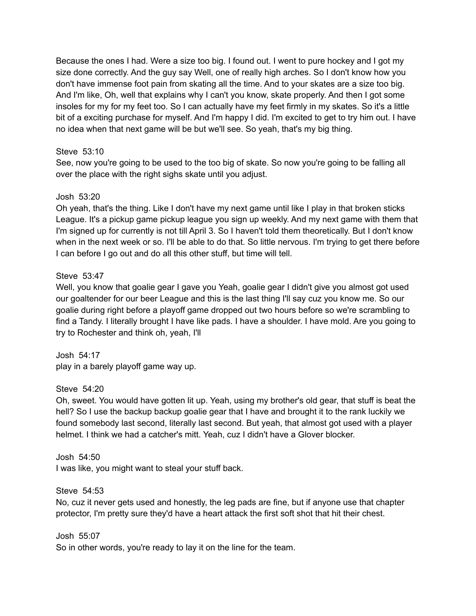Because the ones I had. Were a size too big. I found out. I went to pure hockey and I got my size done correctly. And the guy say Well, one of really high arches. So I don't know how you don't have immense foot pain from skating all the time. And to your skates are a size too big. And I'm like, Oh, well that explains why I can't you know, skate properly. And then I got some insoles for my for my feet too. So I can actually have my feet firmly in my skates. So it's a little bit of a exciting purchase for myself. And I'm happy I did. I'm excited to get to try him out. I have no idea when that next game will be but we'll see. So yeah, that's my big thing.

## Steve 53:10

See, now you're going to be used to the too big of skate. So now you're going to be falling all over the place with the right sighs skate until you adjust.

#### Josh 53:20

Oh yeah, that's the thing. Like I don't have my next game until like I play in that broken sticks League. It's a pickup game pickup league you sign up weekly. And my next game with them that I'm signed up for currently is not till April 3. So I haven't told them theoretically. But I don't know when in the next week or so. I'll be able to do that. So little nervous. I'm trying to get there before I can before I go out and do all this other stuff, but time will tell.

## Steve 53:47

Well, you know that goalie gear I gave you Yeah, goalie gear I didn't give you almost got used our goaltender for our beer League and this is the last thing I'll say cuz you know me. So our goalie during right before a playoff game dropped out two hours before so we're scrambling to find a Tandy. I literally brought I have like pads. I have a shoulder. I have mold. Are you going to try to Rochester and think oh, yeah, I'll

Josh 54:17 play in a barely playoff game way up.

## Steve 54:20

Oh, sweet. You would have gotten lit up. Yeah, using my brother's old gear, that stuff is beat the hell? So I use the backup backup goalie gear that I have and brought it to the rank luckily we found somebody last second, literally last second. But yeah, that almost got used with a player helmet. I think we had a catcher's mitt. Yeah, cuz I didn't have a Glover blocker.

Josh 54:50 I was like, you might want to steal your stuff back.

Steve 54:53

No, cuz it never gets used and honestly, the leg pads are fine, but if anyone use that chapter protector, I'm pretty sure they'd have a heart attack the first soft shot that hit their chest.

Josh 55:07

So in other words, you're ready to lay it on the line for the team.